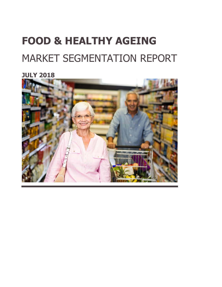# **FOOD & HEALTHY AGEING** MARKET SEGMENTATION REPORT

**JULY 2018**

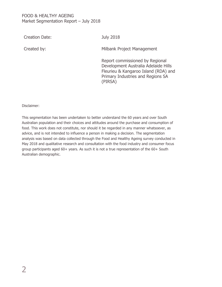Creation Date: July 2018

Created by: Created by: Milbank Project Management

Report commissioned by Regional Development Australia Adelaide Hills Fleurieu & Kangaroo Island (RDA) and Primary Industries and Regions SA (PIRSA)

Disclaimer:

This segmentation has been undertaken to better understand the 60 years and over South Australian population and their choices and attitudes around the purchase and consumption of food. This work does not constitute, nor should it be regarded in any manner whatsoever, as advice, and is not intended to influence a person in making a decision. The segmentation analysis was based on data collected through the Food and Healthy Ageing survey conducted in May 2018 and qualitative research and consultation with the food industry and consumer focus group participants aged 60+ years. As such it is not a true representation of the 60+ South Australian demographic.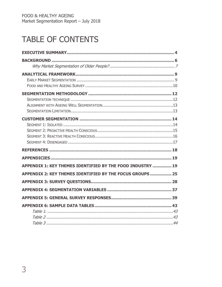# TABLE OF CONTENTS

| APPENDIX 1: KEY THEMES IDENTIFIED BY THE FOOD INDUSTRY  19 |  |
|------------------------------------------------------------|--|
| APPENDIX 2: KEY THEMES IDENTIFIED BY THE FOCUS GROUPS  25  |  |
|                                                            |  |
|                                                            |  |
|                                                            |  |
|                                                            |  |
|                                                            |  |
|                                                            |  |
|                                                            |  |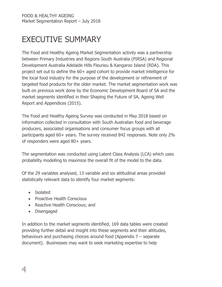# <span id="page-3-0"></span>EXECUTIVE SUMMARY

The Food and Healthy Ageing Market Segmentation activity was a partnership between Primary Industries and Regions South Australia (PIRSA) and Regional Development Australia Adelaide Hills Fleurieu & Kangaroo Island (RDA). This project set out to define the 60+ aged cohort to provide market intelligence for the local food industry for the purpose of the development or refinement of targeted food products for the older market. The market segmentation work was built on previous work done by the Economic Development Board of SA and the market segments identified in their Shaping the Future of SA, Ageing Well Report and Appendices (2015).

The Food and Healthy Ageing Survey was conducted in May 2018 based on information collected in consultation with South Australian food and beverage producers, associated organisations and consumer focus groups with all participants aged 60+ years. The survey received 842 responses. Note only 2% of responders were aged 80+ years.

The segmentation was conducted using Latent Class Analysis (LCA) which uses probability modelling to maximize the overall fit of the model to the data.

Of the 29 variables analysed, 13 variable and six attitudinal areas provided statistically relevant data to identify four market segments:

- Isolated
- Proactive Health Conscious
- Reactive Health Conscious; and
- Disengaged

In addition to the market segments identified, 169 data tables were created providing further detail and insight into these segments and their attitudes, behaviours and purchasing choices around food (Appendix 7 – separate document). Businesses may want to seek marketing expertise to help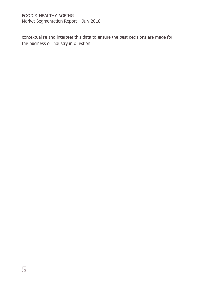contextualise and interpret this data to ensure the best decisions are made for the business or industry in question.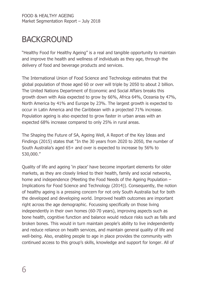# <span id="page-5-0"></span>BACKGROUND

"Healthy Food for Healthy Ageing" is a real and tangible opportunity to maintain and improve the health and wellness of individuals as they age, through the delivery of food and beverage products and services.

The International Union of Food Science and Technology estimates that the global population of those aged 60 or over will triple by 2050 to about 2 billion. The United Nations Department of Economic and Social Affairs breaks this growth down with Asia expected to grow by 66%, Africa 64%, Oceania by 47%, North America by 41% and Europe by 23%. The largest growth is expected to occur in Latin America and the Caribbean with a projected 71% increase. Population ageing is also expected to grow faster in urban areas with an expected 68% increase compared to only 25% in rural areas.

The Shaping the Future of SA, Ageing Well, A Report of the Key Ideas and Findings (2015) states that "In the 30 years from 2020 to 2050, the number of South Australia's aged 65+ and over is expected to increase by 56% to 530,000."

Quality of life and ageing 'in place' have become important elements for older markets, as they are closely linked to their health, family and social networks, home and independence (Meeting the Food Needs of the Ageing Population – Implications for Food Science and Technology (2014)). Consequently, the notion of healthy ageing is a pressing concern for not only South Australia but for both the developed and developing world. Improved health outcomes are important right across the age demographic. Focussing specifically on those living independently in their own homes (60-70 years), improving aspects such as bone health, cognitive function and balance would reduce risks such as falls and broken bones. This would in turn maintain people's ability to live independently and reduce reliance on health services, and maintain general quality of life and well-being. Also, enabling people to age in place provides the community with continued access to this group's skills, knowledge and support for longer. All of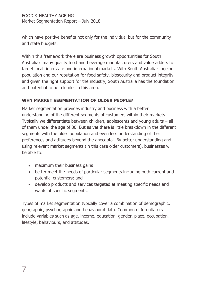which have positive benefits not only for the individual but for the community and state budgets.

Within this framework there are business growth opportunities for South Australia's many quality food and beverage manufacturers and value adders to target local, interstate and international markets. With South Australia's ageing population and our reputation for food safety, biosecurity and product integrity and given the right support for the industry, South Australia has the foundation and potential to be a leader in this area.

### <span id="page-6-0"></span>**WHY MARKET SEGMENTATION OF OLDER PEOPLE?**

Market segmentation provides industry and business with a better understanding of the different segments of customers within their markets. Typically we differentiate between children, adolescents and young adults – all of them under the age of 30. But as yet there is little breakdown in the different segments with the older population and even less understanding of their preferences and attitudes beyond the anecdotal. By better understanding and using relevant market segments (in this case older customers), businesses will be able to:

- maximum their business gains
- better meet the needs of particular segments including both current and potential customers; and
- develop products and services targeted at meeting specific needs and wants of specific segments.

Types of market segmentation typically cover a combination of demographic, geographic, psychographic and behavioural data. Common differentiators include variables such as age, income, education, gender, place, occupation, lifestyle, behaviours, and attitudes.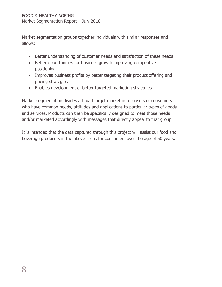Market segmentation groups together individuals with similar responses and allows:

- Better understanding of customer needs and satisfaction of these needs
- Better opportunities for business growth improving competitive positioning
- Improves business profits by better targeting their product offering and pricing strategies
- Enables development of better targeted marketing strategies

Market segmentation divides a broad target market into subsets of consumers who have common needs, attitudes and applications to particular types of goods and services. Products can then be specifically designed to meet those needs and/or marketed accordingly with messages that directly appeal to that group.

It is intended that the data captured through this project will assist our food and beverage producers in the above areas for consumers over the age of 60 years.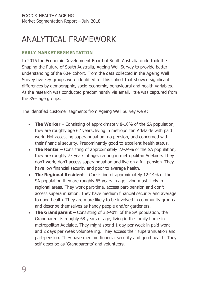# <span id="page-8-0"></span>ANALYTICAL FRAMEWORK

### <span id="page-8-1"></span>**EARLY MARKET SEGMENTATION**

In 2016 the Economic Development Board of South Australia undertook the Shaping the Future of South Australia, Ageing Well Survey to provide better understanding of the 60+ cohort. From the data collected in the Ageing Well Survey five key groups were identified for this cohort that showed significant differences by demographic, socio-economic, behavioural and health variables. As the research was conducted predominantly via email, little was captured from the 85+ age groups.

The identified customer segments from Ageing Well Survey were:

- **The Worker** Consisting of approximately 8-10% of the SA population, they are roughly age 62 years, living in metropolitan Adelaide with paid work. Not accessing superannuation, no pension, and concerned with their financial security. Predominantly good to excellent health status.
- **The Renter** Consisting of approximately 22-24% of the SA population, they are roughly 77 years of age, renting in metropolitan Adelaide. They don't work, don't access superannuation and live on a full pension. They have low financial security and poor to average health.
- **The Regional Resident** Consisting of approximately 12-14% of the SA population they are roughly 65 years in age living most likely in regional areas. They work part-time, access part-pension and don't access superannuation. They have medium financial security and average to good health. They are more likely to be involved in community groups and describe themselves as handy people and/or gardeners.
- **The Grandparent** Consisting of 38-40% of the SA population, the Grandparent is roughly 68 years of age, living in the family home in metropolitan Adelaide, They might spend 1 day per week in paid work and 2 days per week volunteering. They access their superannuation and part-pension. They have medium financial security and good health. They self-describe as 'Grandparents' and volunteers.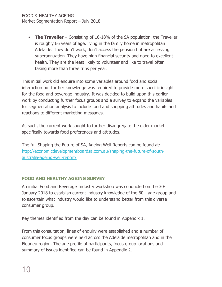• **The Traveller** – Consisting of 16-18% of the SA population, the Traveller is roughly 66 years of age, living in the family home in metropolitan Adelaide. They don't work, don't access the pension but are accessing superannuation. They have high financial security and good to excellent health. They are the least likely to volunteer and like to travel often taking more than three trips per year.

This initial work did enquire into some variables around food and social interaction but further knowledge was required to provide more specific insight for the food and beverage industry. It was decided to build upon this earlier work by conducting further focus groups and a survey to expand the variables for segmentation analysis to include food and shopping attitudes and habits and reactions to different marketing messages.

As such, the current work sought to further disaggregate the older market specifically towards food preferences and attitudes.

The full Shaping the Future of SA, Ageing Well Reports can be found at: [http://economicdevelopmentboardsa.com.au/shaping-the-future-of-south](http://economicdevelopmentboardsa.com.au/shaping-the-future-of-south-australia-ageing-well-report/)[australia-ageing-well-report/](http://economicdevelopmentboardsa.com.au/shaping-the-future-of-south-australia-ageing-well-report/)

### <span id="page-9-0"></span>**FOOD AND HEALTHY AGEING SURVEY**

An initial Food and Beverage Industry workshop was conducted on the 30<sup>th</sup> January 2018 to establish current industry knowledge of the 60+ age group and to ascertain what industry would like to understand better from this diverse consumer group.

Key themes identified from the day can be found in Appendix 1.

From this consultation, lines of enquiry were established and a number of consumer focus groups were held across the Adelaide metropolitan and in the Fleurieu region. The age profile of participants, focus group locations and summary of issues identified can be found in Appendix 2.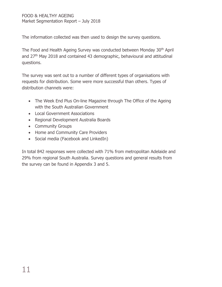The information collected was then used to design the survey questions.

The Food and Health Ageing Survey was conducted between Monday 30th April and 27<sup>th</sup> May 2018 and contained 43 demographic, behavioural and attitudinal questions.

The survey was sent out to a number of different types of organisations with requests for distribution. Some were more successful than others. Types of distribution channels were:

- The Week End Plus On-line Magazine through The Office of the Ageing with the South Australian Government
- Local Government Associations
- Regional Development Australia Boards
- Community Groups
- Home and Community Care Providers
- Social media (Facebook and LinkedIn)

In total 842 responses were collected with 71% from metropolitan Adelaide and 29% from regional South Australia. Survey questions and general results from the survey can be found in Appendix 3 and 5.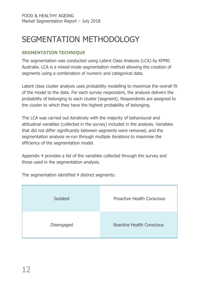# <span id="page-11-0"></span>SEGMENTATION METHODOLOGY

### <span id="page-11-1"></span>**SEGMENTATION TECHNIQUE**

The segmentation was conducted using Latent Class Analysis (LCA) by KPMG Australia. LCA is a mixed-mode segmentation method allowing the creation of segments using a combination of numeric and categorical data.

Latent class cluster analysis uses probability modelling to maximize the overall fit of the model to the data. For each survey respondent, the analysis delivers the probability of belonging to each cluster (segment). Respondents are assigned to the cluster to which they have the highest probability of belonging.

The LCA was carried out iteratively with the majority of behavioural and attitudinal variables (collected in the survey) included in the analysis. Variables that did not differ significantly between segments were removed, and the segmentation analysis re-run through multiple iterations to maximise the efficiency of the segmentation model.

Appendix 4 provides a list of the variables collected through the survey and those used in the segmentation analysis.

Isolated Proactive Health Conscious Disengaged Reactive Health Conscious

The segmentation identified 4 distinct segments: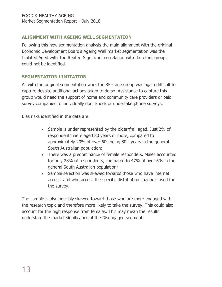### <span id="page-12-0"></span>**ALIGNMENT WITH AGEING WELL SEGMENTATION**

Following this new segmentation analysis the main alignment with the original Economic Development Board's Ageing Well market segmentation was the Isolated Aged with The Renter. Significant correlation with the other groups could not be identified.

### <span id="page-12-1"></span>**SEGMENTATION LIMITATION**

As with the original segmentation work the 85+ age group was again difficult to capture despite additional actions taken to do so. Assistance to capture this group would need the support of home and community care providers or paid survey companies to individually door knock or undertake phone surveys.

Bias risks identified in the data are:

- Sample is under represented by the older/frail aged. Just 2% of respondents were aged 80 years or more, compared to approximately 20% of over 60s being 80+ years in the general South Australian population;
- There was a predominance of female responders. Males accounted for only 28% of respondents, compared to 47% of over 60s in the general South Australian population;
- Sample selection was skewed towards those who have internet access, and who access the specific distribution channels used for the survey.

The sample is also possibly skewed toward those who are more engaged with the research topic and therefore more likely to take the survey. This could also account for the high response from females. This may mean the results understate the market significance of the Disengaged segment.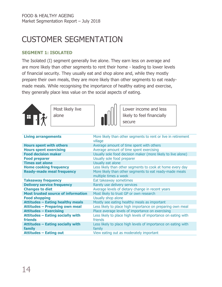# <span id="page-13-0"></span>CUSTOMER SEGMENTATION

#### <span id="page-13-1"></span>**SEGMENT 1: ISOLATED**

The Isolated (I) segment generally live alone. They earn less on average and are more likely than other segments to rent their home - leading to lower levels of financial security. They usually eat and shop alone and, while they mostly prepare their own meals, they are more likely than other segments to eat readymade meals. While recognising the importance of healthy eating and exercise, they generally place less value on the social aspects of eating.



Most likely live alone



Lower income and less likely to feel financially secure

| <b>Living arrangements</b>                | More likely than other segments to rent or live in retirement<br>village |
|-------------------------------------------|--------------------------------------------------------------------------|
| <b>Hours spent with others</b>            | Average amount of time spent with others                                 |
| <b>Hours spent exercising</b>             | Average amount of time spent exercising                                  |
| <b>Food decision maker</b>                | Usually sole food decision maker (more likely to live alone)             |
| <b>Food preparer</b>                      | Usually sole food preparer                                               |
| <b>Times eat alone</b>                    | Usually eat alone                                                        |
| <b>Home cooking frequency</b>             | Less likely than other segments to cook at home every day                |
| <b>Ready-made meal frequency</b>          | More likely than other segments to eat ready-made meals                  |
|                                           | multiple times a week                                                    |
| <b>Takeaway frequency</b>                 | Eat takeaway sometimes                                                   |
| <b>Delivery service frequency</b>         | Rarely use delivery services                                             |
| <b>Changes to diet</b>                    | Average levels of dietary change in recent years                         |
| <b>Most trusted source of information</b> | Most likely to trust GP or own research                                  |
| <b>Food shopping</b>                      | Usually shop alone                                                       |
| <b>Attitudes - Eating healthy meals</b>   | Mostly see eating healthy meals as important                             |
| <b>Attitudes - Preparing own meal</b>     | Less likely to place high importance on preparing own meal               |
| <b>Attitudes - Exercising</b>             | Place average levels of importance on exercising                         |
| <b>Attitudes - Eating socially with</b>   | Less likely to place high levels of importance on eating with            |
| <b>friends</b>                            | friends                                                                  |
| <b>Attitudes - Eating socially with</b>   | Less likely to place high levels of importance on eating with            |
| family                                    | family                                                                   |
| <b>Attitudes - Eating out</b>             | View eating out as moderately important                                  |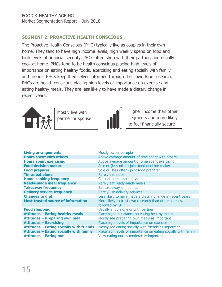### <span id="page-14-0"></span>**SEGMENT 2: PROACTIVE HEALTH CONSCIOUS**

The Proactive Health Conscious (PHC) typically live as couples in their own home. They tend to have high income levels, high weekly spend on food and high levels of financial security. PHCs often shop with their partner, and usually cook at home. PHCs tend to be health conscious placing high levels of importance on eating healthy foods, exercising and eating socially with family and friends. PHCs keep themselves informed through their own food research. PHCs are health conscious placing high levels of importance on exercise and eating healthy meals. They are less likely to have made a dietary change in recent years.



Mostly live with partner or spouse



Higher income than other segments and more likely to feel financially secure

| <b>Living arrangements</b>                      | Mostly owner occupier                                          |
|-------------------------------------------------|----------------------------------------------------------------|
| <b>Hours spent with others</b>                  | Above average amount of time spent with others                 |
| <b>Hours spent exercising</b>                   | Above average amount of time spent exercising                  |
| <b>Food decision maker</b>                      | Sole or (less often) joint food decision maker                 |
| <b>Food preparer</b>                            | Sole or (less often) joint food preparer                       |
| <b>Times eat alone</b>                          | Rarely eat alone                                               |
| <b>Home cooking frequency</b>                   | Cook at home most days                                         |
| <b>Ready-made meal frequency</b>                | Rarely eat ready-made meals                                    |
| <b>Takeaway frequency</b>                       | Eat takeaway sometimes                                         |
| <b>Delivery service frequency</b>               | Rarely use delivery services                                   |
| <b>Changes to diet</b>                          | Less likely to have made a dietary change in recent years      |
| <b>Most trusted source of information</b>       | More likely to trust own research than other sources,          |
|                                                 | followed by GP                                                 |
| <b>Food shopping</b>                            | Usually shop alone or with partner                             |
| <b>Attitudes - Eating healthy meals</b>         | Place high importance on eating healthy meals                  |
| <b>Attitudes - Preparing own meal</b>           | Mostly see preparing own meals as important                    |
| <b>Attitudes - Exercising</b>                   | Place high levels of importance on exercise                    |
| <b>Attitudes - Eating socially with friends</b> | Mostly see eating socially with friends as important           |
| Attitudes - Eating socially with family         | Place high levels of importance on eating socially with family |
| <b>Attitudes - Eating out</b>                   | View eating out as moderately important                        |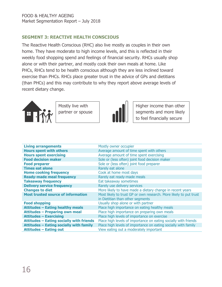### <span id="page-15-0"></span>**SEGMENT 3: REACTIVE HEALTH CONSCIOUS**

The Reactive Health Conscious (RHC) also live mostly as couples in their own home. They have moderate to high income levels, and this is reflected in their weekly food shopping spend and feelings of financial security. RHCs usually shop alone or with their partner, and mostly cook their own meals at home. Like PHCs, RHCs tend to be health conscious although they are less inclined toward exercise than PHCs. RHCs place greater trust in the advice of GPs and dietitians (than PHCs) and this may contribute to why they report above average levels of recent dietary change.



 $\overline{\mathsf{I}}$ 

Mostly live with partner or spouse



Higher income than other segments and more likely to feel financially secure

| <b>Living arrangements</b>                      | Mostly owner occupier                                             |
|-------------------------------------------------|-------------------------------------------------------------------|
| <b>Hours spent with others</b>                  | Average amount of time spent with others                          |
| <b>Hours spent exercising</b>                   | Average amount of time spent exercising                           |
| <b>Food decision maker</b>                      | Sole or (less often) joint food decision maker                    |
| <b>Food preparer</b>                            | Sole or (less often) joint food preparer                          |
| <b>Times eat alone</b>                          | Rarely eat alone                                                  |
| <b>Home cooking frequency</b>                   | Cook at home most days                                            |
| <b>Ready-made meal frequency</b>                | Rarely eat ready-made meals                                       |
| <b>Takeaway frequency</b>                       | Eat takeaway sometimes                                            |
| <b>Delivery service frequency</b>               | Rarely use delivery services                                      |
| <b>Changes to diet</b>                          | More likely to have made a dietary change in recent years         |
| <b>Most trusted source of information</b>       | Most likely to trust GP or own research. More likely to put trust |
|                                                 | in Dietitian than other segments                                  |
| <b>Food shopping</b>                            | Usually shop alone or with partner                                |
| <b>Attitudes - Eating healthy meals</b>         | Place high importance on eating healthy meals                     |
| <b>Attitudes - Preparing own meal</b>           | Place high importance on preparing own meals                      |
| <b>Attitudes - Exercising</b>                   | Place high levels of importance on exercise                       |
| <b>Attitudes - Eating socially with friends</b> | Place high levels of importance on eating socially with friends   |
| Attitudes - Eating socially with family         | Place high levels of importance on eating socially with family    |
| <b>Attitudes - Eating out</b>                   | View eating out a moderately important                            |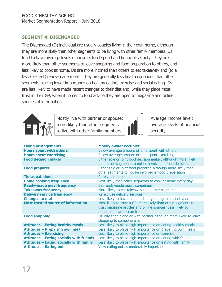### <span id="page-16-0"></span>**SEGMENT 4: DISENGAGED**

The Disengaged (D) individual are usually couples living in their own home, although they are more likely than other segments to be living with other family members. Ds tend to have average levels of income, food spend and financial security. They are more likely than other segments to leave shopping and food preparation to others, and less likely to cook at home. Ds are more inclined than others to eat takeaway and (to a lesser extent) ready-made meals. They are generally less health conscious than other segments placing lower importance on healthy eating, exercise and social eating. Ds are less likely to have made recent changes to their diet and, while they place most trust in their GP, when it comes to food advice they are open to magazine and online sources of information.



 $\overline{\mathsf{I}}$ 

Mostly live with partner or spouse; more likely than other segments to live with other family members



Average income level; average levels of financial security

| <b>Living arrangements</b>                      | <b>Mostly owner occupier</b>                                                                                                                          |
|-------------------------------------------------|-------------------------------------------------------------------------------------------------------------------------------------------------------|
| <b>Hours spent with others</b>                  | Below average amount of time spent with others                                                                                                        |
| <b>Hours spent exercising</b>                   | Below average amount of time spent exercising                                                                                                         |
| <b>Food decision maker</b>                      | Either sole or joint food decision maker, although more likely<br>than other segments to not be involved in food decisions                            |
| <b>Food preparer</b>                            | Either sole or joint food preparer, although more likely than<br>other segments to not be involved in food preparation                                |
| <b>Times eat alone</b>                          | Rarely eat alone                                                                                                                                      |
| <b>Home cooking frequency</b>                   | Less likely than other segments to cook at home every day                                                                                             |
| <b>Ready-made meal frequency</b>                | Eat ready-made meals sometimes                                                                                                                        |
| <b>Takeaway frequency</b>                       | More likely to eat takeaway than other segments                                                                                                       |
| <b>Delivery service frequency</b>               | Rarely use delivery services                                                                                                                          |
| <b>Changes to diet</b>                          | Less likely to have made a dietary change in recent years                                                                                             |
| <b>Most trusted source of information</b>       | Most likely to trust a GP. More likely than other segments to<br>trust magazine articles and online sources. Less likely to<br>undertake own research |
| <b>Food shopping</b>                            | Usually shop alone or with partner although more likely to leave<br>shopping to someone else                                                          |
| <b>Attitudes - Eating healthy meals</b>         | Less likely to place high importance on eating healthy meals                                                                                          |
| <b>Attitudes - Preparing own meal</b>           | Less likely to place high importance on preparing own meals                                                                                           |
| <b>Attitudes - Exercising</b>                   | Less likely to place high importance on exercise                                                                                                      |
| <b>Attitudes - Eating socially with friends</b> | Less likely to place high importance on eating with friends                                                                                           |
| <b>Attitudes - Eating socially with family</b>  | Less likely to place high importance on eating with family                                                                                            |
| <b>Attitudes - Eating out</b>                   | View eating out as moderately important                                                                                                               |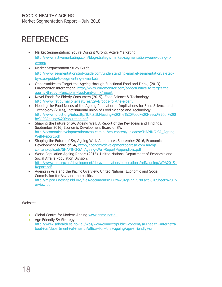### <span id="page-17-0"></span>**REFERENCES**

- Market Segmentation: You're Doing it Wrong, Active Marketing [http://www.activemarketing.com/blog/strategy/market-segmentation-youre-doing-it](http://www.activemarketing.com/blog/strategy/market-segmentation-youre-doing-it-wrong/)[wrong/](http://www.activemarketing.com/blog/strategy/market-segmentation-youre-doing-it-wrong/)
- Market Segmentation Study Guide, [http://www.segmentationstudyguide.com/understanding-market-segmentation/a-step](http://www.segmentationstudyguide.com/understanding-market-segmentation/a-step-by-step-guide-to-segmenting-a-market/)[by-step-guide-to-segmenting-a-market/](http://www.segmentationstudyguide.com/understanding-market-segmentation/a-step-by-step-guide-to-segmenting-a-market/)
- Opportunities to Target the Ageing through Functional Food and Drink, (2013) Euromonitor International [http://www.euromonitor.com/opportunities-to-target-the](http://www.euromonitor.com/opportunities-to-target-the-ageing-through-functional-food-and-drink/report)[ageing-through-functional-food-and-drink/report](http://www.euromonitor.com/opportunities-to-target-the-ageing-through-functional-food-and-drink/report)
- Novel Foods for Elderly Consumers (2015), Food Science & Technology <http://www.fstjournal.org/features/29-4/foods-for-the-elderly>
- Meeting the Food Needs of the Ageing Population Implications for Food Science and Technology (2014), International union of Food Science and Technology [http://www.iufost.org/iufostftp/IUF.SIB.Meeting%20the%20Food%20Needs%20of%20t](http://www.iufost.org/iufostftp/IUF.SIB.Meeting%20the%20Food%20Needs%20of%20the%20Ageing%20Population.pdf) [he%20Ageing%20Population.pdf](http://www.iufost.org/iufostftp/IUF.SIB.Meeting%20the%20Food%20Needs%20of%20the%20Ageing%20Population.pdf)
- Shaping the Future of SA, Ageing Well. A Report of the Key Ideas and Findings, September 2016, Economic Development Board of SA, [http://economicdevelopmentboardsa.com.au/wp-content/uploads/SHAPING-SA\\_Ageing-](http://economicdevelopmentboardsa.com.au/wp-content/uploads/SHAPING-SA_Ageing-Well-Report.pdf)[Well-Report.pdf](http://economicdevelopmentboardsa.com.au/wp-content/uploads/SHAPING-SA_Ageing-Well-Report.pdf)
- Shaping the Future of SA, Ageing Well. Appendices September 2016, Economic Development Board of SA, [http://economicdevelopmentboardsa.com.au/wp](http://economicdevelopmentboardsa.com.au/wp-content/uploads/SHAPING-SA_Ageing-Well-Report-Appendices.pdf)[content/uploads/SHAPING-SA\\_Ageing-Well-Report-Appendices.pdf](http://economicdevelopmentboardsa.com.au/wp-content/uploads/SHAPING-SA_Ageing-Well-Report-Appendices.pdf)
- World Population Ageing Report (2015), United Nations, Department of Economic and Social Affairs Population Division, [http://www.un.org/en/development/desa/population/publications/pdf/ageing/WPA2015\\_](http://www.un.org/en/development/desa/population/publications/pdf/ageing/WPA2015_Report.pdf) [Report.pdf](http://www.un.org/en/development/desa/population/publications/pdf/ageing/WPA2015_Report.pdf)
- Ageing in Asia and the Pacific Overview, United Nations, Economic and Social Commission for Asia and the pacific, [http://mipaa.unescapsdd.org/files/documents/SDD%20Ageing%20Fact%20Sheet%20Ov](http://mipaa.unescapsdd.org/files/documents/SDD%20Ageing%20Fact%20Sheet%20Overview.pdf) [erview.pdf](http://mipaa.unescapsdd.org/files/documents/SDD%20Ageing%20Fact%20Sheet%20Overview.pdf)

#### Websites

- Global Centre for Modern Ageing [www.gcma.net.au](http://www.gcma.net.au/)
- Age Friendly SA Strategy [http://www.sahealth.sa.gov.au/wps/wcm/connect/public+content/sa+health+internet/a](http://www.sahealth.sa.gov.au/wps/wcm/connect/public+content/sa+health+internet/about+us/department+of+health/office+for+the+ageing/age+friendly+sa) [bout+us/department+of+health/office+for+the+ageing/age+friendly+sa](http://www.sahealth.sa.gov.au/wps/wcm/connect/public+content/sa+health+internet/about+us/department+of+health/office+for+the+ageing/age+friendly+sa)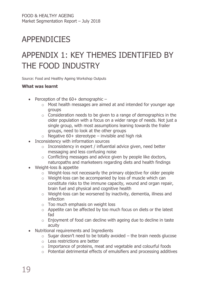# <span id="page-18-0"></span>APPENDICIES

### <span id="page-18-1"></span>APPENDIX 1: KEY THEMES IDENTIFIED BY THE FOOD INDUSTRY

Source: Food and Healthy Ageing Workshop Outputs

#### **What was learnt**

- Perception of the  $60+$  demographic  $$ 
	- o Most health messages are aimed at and intended for younger age groups
	- $\circ$  Consideration needs to be given to a range of demographics in the older population with a focus on a wider range of needs. Not just a single group, with most assumptions leaning towards the frailer groups, need to look at the other groups
	- $\circ$  Negative 60+ stereotype invisible and high risk
- Inconsistency with information sources
	- $\circ$  Inconsistency in expert / influential advice given, need better messaging and less confusing noise
	- o Conflicting messages and advice given by people like doctors, naturopaths and marketeers regarding diets and health findings
- Weight-loss & appetite
	- o Weight-loss not necessarily the primary objective for older people
	- o Weight-loss can be accompanied by loss of muscle which can constitute risks to the immune capacity, wound and organ repair, brain fuel and physical and cognitive health
	- o Weight-loss can be worsened by inactivity, dementia, illness and infection
	- o Too much emphasis on weight loss
	- $\circ$  Appetite can be affected by too much focus on diets or the latest fad
	- $\circ$  Enjoyment of food can decline with ageing due to decline in taste acuity
- Nutritional requirements and Ingredients
	- $\circ$  Sugar doesn't need to be totally avoided the brain needs glucose
	- o Less restrictions are better
	- o Importance of proteins, meat and vegetable and colourful foods
	- o Potential detrimental effects of emulsifiers and processing additives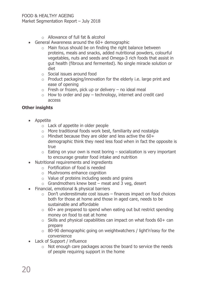- o Allowance of full fat & alcohol
- General Awareness around the 60+ demographic
	- o Main focus should be on finding the right balance between proteins, meals and snacks, added nutritional powders, colourful vegetables, nuts and seeds and Omega-3 rich foods that assist in gut health (fibrous and fermented). No single miracle solution or diet
	- o Social issues around food
	- $\circ$  Product packaging/innovation for the elderly i.e. large print and ease of opening
	- $\circ$  Fresh or frozen, pick up or delivery no ideal meal
	- $\circ$  How to order and pay technology, internet and credit card access

### **Other insights**

- Appetite
	- o Lack of appetite in older people
	- o More traditional foods work best, familiarity and nostalgia
	- $\circ$  Mindset because they are older and less active the 60+ demographic think they need less food when in fact the opposite is true
	- $\circ$  Eating on your own is most boring socialization is very important to encourage greater food intake and nutrition
- Nutritional requirements and ingredients
	- o Fortification of food is needed
	- o Mushrooms enhance cognition
	- o Value of proteins including seeds and grains
	- $\circ$  Grandmothers knew best meat and 3 veg, desert
- Financial, emotional & physical barriers
	- $\circ$  Don't underestimate cost issues finances impact on food choices both for those at home and those in aged care, needs to be sustainable and affordable
	- $\circ$  60+ are prepared to spend when eating out but restrict spending money on food to eat at home
	- $\circ$  Skills and physical capabilities can impact on what foods 60+ can prepare
	- o 80-90 demographic going on weightwatchers / light'n'easy for the convenience
- Lack of Support / influence
	- o Not enough care packages across the board to service the needs of people requiring support in the home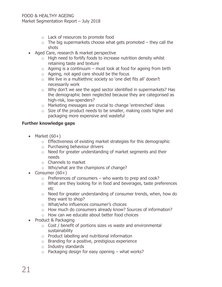- o Lack of resources to promote food
- $\circ$  The big supermarkets choose what gets promoted they call the shots
- Aged Care, research & market perspective
	- $\circ$  High need to fortify foods to increase nutrition density whilst retaining taste and texture
	- $\circ$  Ageing is a continuum must look at food for ageing from birth
	- o Ageing, not aged care should be the focus
	- o We live in a multiethnic society so 'one diet fits all' doesn't necessarily work
	- o Why don't we see the aged sector identified in supermarkets? Has the demographic been neglected because they are categorised as high-risk, low-spenders?
	- o Marketing messages are crucial to change 'entrenched' ideas
	- $\circ$  Size of the product needs to be smaller, making costs higher and packaging more expensive and wasteful

### **Further knowledge gaps**

- Market  $(60+)$ 
	- o Effectiveness of existing market strategies for this demographic
	- o Purchasing behaviour drivers
	- o Need for greater understanding of market segments and their needs
	- o Channels to market
	- o Who/what are the champions of change?
- Consumer  $(60+)$ 
	- $\circ$  Preferences of consumers who wants to prep and cook?
	- o What are they looking for in food and beverages, taste preferences etc
	- o Need for greater understanding of consumer trends, when, how do they want to shop?
	- o What/who influences consumer's choices
	- o How much do consumers already know? Sources of information?
	- o How can we educate about better food choices
- Product & Packaging
	- o Cost / benefit of portions sizes vs waste and environmental sustainability
	- o Product labelling and nutritional information
	- o Branding for a positive, prestigious experience
	- o Industry standards
	- $\circ$  Packaging design for easy opening what works?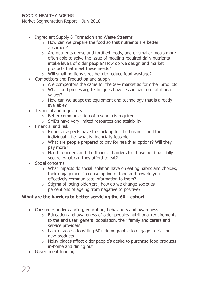- Ingredient Supply & Formation and Waste Streams
	- o How can we prepare the food so that nutrients are better absorbed?
	- o Are nutrients dense and fortified foods, and or smaller meals more often able to solve the issue of meeting required daily nutrients intake levels of older people? How do we design and market products that meet these needs?
	- o Will small portions sizes help to reduce food wastage?
- Competitors and Production and supply
	- $\circ$  Are competitors the same for the 60+ market as for other products
	- o What food processing techniques have less impact on nutritional values?
	- $\circ$  How can we adapt the equipment and technology that is already available?
- Technical and regulatory
	- o Better communication of research is required
	- o SME's have very limited resources and scalability
- Financial and risk
	- o Financial aspects have to stack up for the business and the  $individual - i.e.$  what is financially feasible
	- o What are people prepared to pay for healthier options? Will they pay more?
	- o Need to understand the financial barriers for those not financially secure, what can they afford to eat?
- Social concerns
	- o What impacts do social isolation have on eating habits and choices, their engagement in consumption of food and how do you effectively communicate information to them?
	- $\circ$  Stigma of 'being older(er)', how do we change societies perceptions of ageing from negative to positive?

### **What are the barriers to better servicing the 60+ cohort**

- Consumer understanding, education, behaviours and awareness
	- $\circ$  Education and awareness of older peoples nutritional requirements to the end user, general population, their family and carers and service providers
	- $\circ$  Lack of access to willing 60+ demographic to engage in trialling new products
	- o Noisy places affect older people's desire to purchase food products in-home and dining out
- Government funding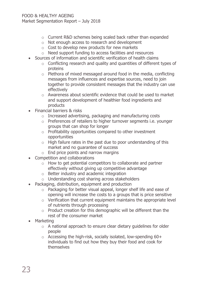- o Current R&D schemes being scaled back rather than expanded
- o Not enough access to research and development
- $\circ$  Cost to develop new products for new markets
- o Need support funding to access facilities and resources
- Sources of information and scientific verification of health claims
	- o Conflicting research and quality and quantities of different types of proteins
	- o Plethora of mixed messaged around food in the media, conflicting messages from influences and expertise sources, need to join together to provide consistent messages that the industry can use effectively
	- o Awareness about scientific evidence that could be used to market and support development of healthier food ingredients and products
- Financial barriers & risks
	- o Increased advertising, packaging and manufacturing costs
	- o Preferences of retailers to higher turnover segments i.e. younger groups that can shop for longer
	- o Profitability opportunities compared to other investment opportunities
	- $\circ$  High failure rates in the past due to poor understanding of this market and no guarantee of success
	- $\circ$  End price points and narrow margins
- Competition and collaborations
	- o How to get potential competitors to collaborate and partner effectively without giving up competitive advantage
	- o Better industry and academic integration
	- o Understanding cost sharing across stakeholders
- Packaging, distribution, equipment and production
	- o Packaging for better visual appeal, longer shelf life and ease of opening will increase the costs to a groups that is price sensitive
	- $\circ$  Verification that current equipment maintains the appropriate level of nutrients through processing
	- o Product creation for this demographic will be different than the rest of the consumer market
- Marketing
	- $\circ$  A national approach to ensure clear dietary quidelines for older people
	- $\circ$  Accessing the high-risk, socially isolated, low-spending 60+ individuals to find out how they buy their food and cook for themselves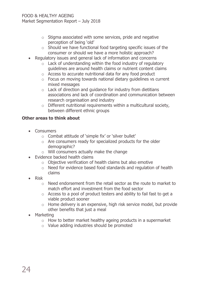- $\circ$  Stigma associated with some services, pride and negative perception of being 'old'
- $\circ$  Should we have functional food targeting specific issues of the consumer or should we have a more holistic approach?
- Regulatory issues and general lack of information and concerns
	- $\circ$  Lack of understanding within the food industry of regulatory guidelines are around health claims or nutrient content claims
	- o Access to accurate nutritional data for any food product
	- $\circ$  Focus on moving towards national dietary quidelines vs current mixed messages
	- $\circ$  Lack of direction and quidance for industry from dietitians associations and lack of coordination and communication between research organisation and industry
	- $\circ$  Different nutritional requirements within a multicultural society, between different ethnic groups

### **Other areas to think about**

- Consumers
	- o Combat attitude of 'simple fix' or 'silver bullet'
	- o Are consumers ready for specialized products for the older demographic?
	- o Will consumers actually make the change
- Evidence backed health claims
	- o Objective verification of health claims but also emotive
	- o Need for evidence based food standards and regulation of health claims
- Risk
	- o Need endorsement from the retail sector as the route to market to match effort and investment from the food sector
	- o Access to a pool of product testers and ability to fail fast to get a viable product sooner
	- o Home delivery is an expensive, high risk service model, but provide other benefits that just a meal
- Marketing
	- $\circ$  How to better market healthy ageing products in a supermarket
	- o Value adding industries should be promoted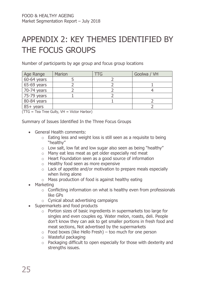# <span id="page-24-0"></span>APPENDIX 2: KEY THEMES IDENTIFIED BY THE FOCUS GROUPS

Number of participants by age group and focus group locations

| Age Range   | <b>Marion</b> | $\Pi$ G | Goolwa / VH |
|-------------|---------------|---------|-------------|
| 60-64 years |               |         |             |
| 65-69 years |               |         |             |
| 70-74 years |               |         |             |
| 75-79 years |               |         |             |
| 80-84 years |               |         |             |
| $85+$ years |               |         |             |

(TTG = Tea Tree Gully, VH = Victor Harbor)

Summary of Issues Identified In the Three Focus Groups

- General Health comments:
	- o Eating less and weight loss is still seen as a requisite to being "healthy"
	- $\circ$  Low salt, low fat and low sugar also seen as being "healthy"
	- o Many eat less meat as get older especially red meat
	- o Heart Foundation seen as a good source of information
	- o Healthy food seen as more expensive
	- o Lack of appetite and/or motivation to prepare meals especially when living alone
	- o Mass production of food is against healthy eating
- Marketing
	- o Conflicting information on what is healthy even from professionals like GPs
	- $\circ$  Cynical about advertising campaigns
- Supermarkets and food products
	- o Portion sizes of basic ingredients in supermarkets too large for singles and even couples eg. Water melon, roasts, deli. People don't know they can ask to get smaller portions in fresh food and meat sections, Not advertised by the supermarkets
	- $\circ$  Food boxes (like Hello Fresh) too much for one person
	- o Wasteful packaging
	- o Packaging difficult to open especially for those with dexterity and strengths issues.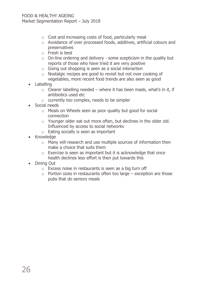- $\circ$  Cost and increasing costs of food, particularly meat
- o Avoidance of over processed foods, additives, artificial colours and preservatives
- o Fresh is best
- o On-line ordering and delivery some scepticism in the quality but reports of those who have tried it are very positive
- o Going out shopping is seen as a social interaction
- o Nostalgic recipes are good to revisit but not over cooking of vegetables, more recent food trends are also seen as good
- Labelling
	- $\circ$  Clearer labelling needed where it has been made, what's in it, if antibiotics used etc
	- o currently too complex, needs to be simpler
- Social needs
	- o Meals on Wheels seen as poor quality but good for social connection
	- $\circ$  Younger older eat out more often, but declines in the older old. Influenced by access to social networks
	- o Eating socially is seen as important
- Knowledge
	- o Many will research and use multiple sources of information then make a choice that suits them
	- $\circ$  Exercise is seen as important but it is acknowledge that once health declines less effort is then put towards this
- Dining Out
	- o Excess noise in restaurants is seen as a big turn off
	- $\circ$  Portion sizes in restaurants often too large exception are those pubs that do seniors meals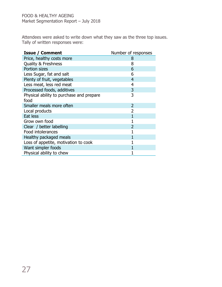Attendees were asked to write down what they saw as the three top issues. Tally of written responses were:

| <b>Issue / Comment</b>                   | Number of responses |
|------------------------------------------|---------------------|
| Price, healthy costs more                | 8                   |
| <b>Quality &amp; Freshness</b>           | 8                   |
| Portion sizes                            | 6                   |
| Less Sugar, fat and salt                 | 6                   |
| Plenty of fruit, vegetables              | $\overline{4}$      |
| Less meat, less red meat                 | $\overline{4}$      |
| Processed foods, additives               | 3                   |
| Physical ability to purchase and prepare | 3                   |
| food                                     |                     |
| Smaller meals more often                 | $\overline{2}$      |
| Local products                           |                     |
| Eat less                                 |                     |
| Grow own food                            |                     |
| Clear / better labelling                 |                     |
| Food intolerances                        |                     |
| Healthy packaged meals                   |                     |
| Loss of appetite, motivation to cook     |                     |
| Want simpler foods                       |                     |
| Physical ability to chew                 |                     |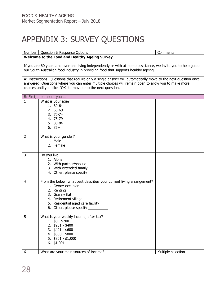# <span id="page-27-0"></span>APPENDIX 3: SURVEY QUESTIONS

|                                                                                                                                                                                                     | Number   Question & Response Options                                                                                                                                                                                                                                                  | Comments           |
|-----------------------------------------------------------------------------------------------------------------------------------------------------------------------------------------------------|---------------------------------------------------------------------------------------------------------------------------------------------------------------------------------------------------------------------------------------------------------------------------------------|--------------------|
| Welcome to the Food and Healthy Ageing Survey.                                                                                                                                                      |                                                                                                                                                                                                                                                                                       |                    |
| If you are 60 years and over and living independently or with at-home assistance, we invite you to help guide<br>our South Australian food industry in providing food that supports healthy ageing. |                                                                                                                                                                                                                                                                                       |                    |
|                                                                                                                                                                                                     | A: Instructions: Questions that require only a single answer will automatically move to the next question once<br>answered. Questions where you can enter multiple choices will remain open to allow you to make more<br>choices until you click "OK" to move onto the next question. |                    |
|                                                                                                                                                                                                     | B: First, a bit about you                                                                                                                                                                                                                                                             |                    |
| 1                                                                                                                                                                                                   | What is your age?<br>1. 60-64<br>2. 65-69<br>3. 70-74<br>4. 75-79<br>5. 80-84<br>$6.85+$                                                                                                                                                                                              |                    |
| 2                                                                                                                                                                                                   | What is your gender?<br>1. Male<br>2. Female                                                                                                                                                                                                                                          |                    |
| 3                                                                                                                                                                                                   | Do you live:<br>1. Alone<br>2. With partner/spouse<br>3. With extended family<br>4. Other, please specify                                                                                                                                                                             |                    |
| 4                                                                                                                                                                                                   | From the below, what best describes your current living arrangement?<br>1. Owner occupier<br>2. Renting<br>3. Granny flat<br>4. Retirement village<br>5. Residential aged care facility<br>6. Other, please specify _________                                                         |                    |
| 5                                                                                                                                                                                                   | What is your weekly income, after tax?<br>$1.$ \$0 - \$200<br>2. \$201 - \$400<br>$3.$ \$401 - \$600<br>4. \$600 - \$800<br>5. \$801 - \$1,000<br>6. $$1,001 +$                                                                                                                       |                    |
| 6                                                                                                                                                                                                   | What are your main sources of income?                                                                                                                                                                                                                                                 | Multiple selection |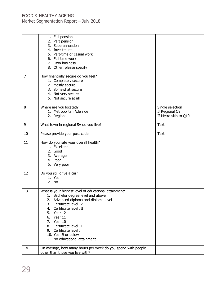| $\overline{7}$ | 1. Full pension<br>2. Part pension<br>3. Superannuation<br>4. Investments<br>5. Part-time or casual work<br>6. Full time work<br>7. Own business<br>8. Other, please specify _<br>How financially secure do you feel?                                                                                                                                                   |                                                            |
|----------------|-------------------------------------------------------------------------------------------------------------------------------------------------------------------------------------------------------------------------------------------------------------------------------------------------------------------------------------------------------------------------|------------------------------------------------------------|
|                | 1. Completely secure<br>2. Mostly secure<br>3. Somewhat secure<br>4. Not very secure<br>5. Not secure at all                                                                                                                                                                                                                                                            |                                                            |
| 8              | Where are you located?<br>1. Metropolitan Adelaide<br>2. Regional                                                                                                                                                                                                                                                                                                       | Single selection<br>If Regional Q9<br>If Metro skip to Q10 |
| 9              | What town in regional SA do you live?                                                                                                                                                                                                                                                                                                                                   | <b>Text</b>                                                |
| 10             | Please provide your post code:                                                                                                                                                                                                                                                                                                                                          | Text                                                       |
| 11             | How do you rate your overall health?<br>1. Excellent<br>2. Good<br>3. Average<br>4. Poor<br>5. Very poor                                                                                                                                                                                                                                                                |                                                            |
| 12             | Do you still drive a car?<br>1. Yes<br>2. No                                                                                                                                                                                                                                                                                                                            |                                                            |
| 13             | What is your highest level of educational attainment:<br>1. Bachelor degree level and above<br>Advanced diploma and diploma level<br>2.<br>Certificate level IV<br>3.<br>Certificate level III<br>4.<br>Year 12<br>5.<br>Year 11<br>6.<br>Year 10<br>7.<br>Certificate level II<br>8.<br>9. Certificate level I<br>10. Year 9 or below<br>11. No educational attainment |                                                            |
| 14             | On average, how many hours per week do you spend with people<br>other than those you live with?                                                                                                                                                                                                                                                                         |                                                            |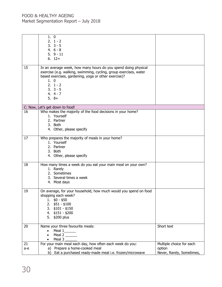|     | 1.0<br>$2. 1 - 2$<br>$3.3 - 5$<br>4. $6 - 8$<br>$5.9 - 11$<br>$6.12+$                                                                                                                                                                                |                           |
|-----|------------------------------------------------------------------------------------------------------------------------------------------------------------------------------------------------------------------------------------------------------|---------------------------|
| 15  | In an average week, how many hours do you spend doing physical<br>exercise (e.g. walking, swimming, cycling, group exercises, water<br>based exercises, gardening, yoga or other exercise)?<br>1.0<br>$2. 1 - 2$<br>$3.3 - 5$<br>$4.4 - 7$<br>$5.8+$ |                           |
|     | C: Now, Let's get down to food!                                                                                                                                                                                                                      |                           |
| 16  | Who makes the majority of the food decisions in your home?<br>1. Yourself<br>2. Partner<br>3. Both<br>4. Other, please specify                                                                                                                       |                           |
| 17  | Who prepares the majority of meals in your home?<br>1. Yourself<br>2. Partner<br>3. Both<br>4. Other, please specify                                                                                                                                 |                           |
| 18  | How many times a week do you eat your main meal on your own?<br>1. Rarely<br>2. Sometimes<br>3. Several times a week<br>4. Most days                                                                                                                 |                           |
| 19  | On average, for your household, how much would you spend on food<br>shopping each week?<br>1. $$0 - $50$<br>2. $$51 - $100$<br>$3.$ \$101 - \$150<br>4. \$151 - \$200<br>5. \$200 plus                                                               |                           |
| 20  | Name your three favourite meals:                                                                                                                                                                                                                     | Short text                |
|     | $\bullet$ Meal 1_______<br>Meal 2<br>Meal 3                                                                                                                                                                                                          |                           |
| 21  | For your main meal each day, how often each week do you:                                                                                                                                                                                             | Multiple choice for each  |
| a-e | a) Prepare a home-cooked meal                                                                                                                                                                                                                        | option                    |
|     | b) Eat a purchased ready-made meal i.e. frozen/microwave                                                                                                                                                                                             | Never, Rarely, Sometimes, |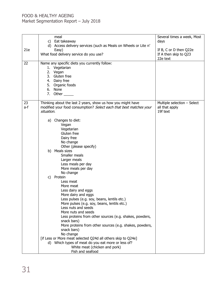| 21e       | meal<br>c) Eat takeaway<br>d) Access delivery services (such as Meals on Wheels or Lite n'<br>Easy)<br>What food delivery service do you use?                                                                                                                                                                                                                                                                                                                                                                                                                                 | Several times a week, Most<br>days<br>If B, C or D then Q22e<br>If A then skip to Q23<br>22e text |
|-----------|-------------------------------------------------------------------------------------------------------------------------------------------------------------------------------------------------------------------------------------------------------------------------------------------------------------------------------------------------------------------------------------------------------------------------------------------------------------------------------------------------------------------------------------------------------------------------------|---------------------------------------------------------------------------------------------------|
| 22        | Name any specific diets you currently follow:<br>1. Vegetarian<br>2. Vegan<br>3. Gluten free<br>4. Dairy free<br>5. Organic foods<br>6. None<br>7. Other                                                                                                                                                                                                                                                                                                                                                                                                                      |                                                                                                   |
| 23<br>a-f | Thinking about the last 2 years, show us how you might have<br>modified your food consumption? Select each that best matches your<br>situation.                                                                                                                                                                                                                                                                                                                                                                                                                               | Multiple selection - Select<br>all that apply<br>19f text                                         |
|           | Changes to diet:<br>a)<br>Vegan<br>Vegetarian<br>Gluten free<br>Dairy free<br>No change<br>Other (please specify)                                                                                                                                                                                                                                                                                                                                                                                                                                                             |                                                                                                   |
|           | b) Meals sizes<br>Smaller meals<br>Larger meals<br>Less meals per day<br>More meals per day<br>No change                                                                                                                                                                                                                                                                                                                                                                                                                                                                      |                                                                                                   |
|           | c)<br>Protein<br>Less meat<br>More meat<br>Less dairy and eggs<br>More dairy and eggs<br>Less pulses (e.g. soy, beans, lentils etc.)<br>More pulses (e.g. soy, beans, lentils etc.)<br>Less nuts and seeds<br>More nuts and seeds<br>Less proteins from other sources (e.g. shakes, powders,<br>snack bars)<br>More proteins from other sources (e.g. shakes, powders,<br>snack bars)<br>No change<br>[if Less or More meat selected Q24d all others skip to Q24e]<br>d) Which types of meat do you eat more or less of?<br>White meat (chicken and pork)<br>Fish and seafood |                                                                                                   |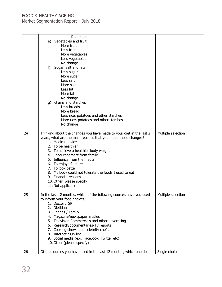|    | Red meat<br>e) Vegetables and fruit<br>More fruit<br>Less fruit<br>More vegetables<br>Less vegetables<br>No change<br>Sugar, salt and fats<br>f)<br>Less sugar<br>More sugar<br>Less salt<br>More salt                                                                                                                                                                                                                                                                    |                    |
|----|---------------------------------------------------------------------------------------------------------------------------------------------------------------------------------------------------------------------------------------------------------------------------------------------------------------------------------------------------------------------------------------------------------------------------------------------------------------------------|--------------------|
|    | Less fat<br>More fat<br>No change<br>q) Grains and starches<br>Less breads<br>More bread<br>Less rice, potatoes and other starches<br>More rice, potatoes and other starches<br>No change                                                                                                                                                                                                                                                                                 |                    |
| 24 | Thinking about the changes you have made to your diet in the last 2<br>years, what are the main reasons that you made those changes?<br>1. Medical advice<br>2. To be healthier<br>3. To achieve a healthier body weight<br>4. Encouragement from family<br>5. Influence from the media<br>6. To enjoy life more<br>7. To look better<br>8. My body could not tolerate the foods I used to eat<br>9. Financial reasons<br>10. Other, please specify<br>11. Not applicable | Multiple selection |
| 25 | In the last 12 months, which of the following sources have you used<br>to inform your food choices?<br>1. Doctor / GP<br>2. Dietitian<br>3. Friends / Family<br>4. Magazine/newspaper articles<br>5. Television Commercials and other advertising<br>6. Research/documentaries/TV reports<br>7. Cooking shows and celebrity chefs<br>8. Internet / On-line<br>9. Social media (e.g. Facebook, Twitter etc)<br>10. Other (please specify)                                  | Multiple selection |
| 26 | Of the sources you have used in the last 12 months, which one do                                                                                                                                                                                                                                                                                                                                                                                                          | Single choice      |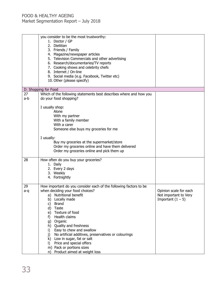|     | you consider to be the most trustworthy:<br>1. Doctor / GP<br>2. Dietitian<br>3. Friends / Family<br>4. Magazine/newspaper articles<br>5. Television Commercials and other advertising<br>6. Research/documentaries/TV reports<br>7. Cooking shows and celebrity chefs<br>8. Internet / On-line |                        |
|-----|-------------------------------------------------------------------------------------------------------------------------------------------------------------------------------------------------------------------------------------------------------------------------------------------------|------------------------|
|     | 9. Social media (e.g. Facebook, Twitter etc)<br>10. Other (please specify)                                                                                                                                                                                                                      |                        |
|     | D: Shopping for Food                                                                                                                                                                                                                                                                            |                        |
| 27  | Which of the following statements best describes where and how you                                                                                                                                                                                                                              |                        |
| a-b | do your food shopping?                                                                                                                                                                                                                                                                          |                        |
|     | I usually shop:                                                                                                                                                                                                                                                                                 |                        |
|     | Alone                                                                                                                                                                                                                                                                                           |                        |
|     | With my partner                                                                                                                                                                                                                                                                                 |                        |
|     | With a family member                                                                                                                                                                                                                                                                            |                        |
|     | With a carer                                                                                                                                                                                                                                                                                    |                        |
|     | Someone else buys my groceries for me                                                                                                                                                                                                                                                           |                        |
|     | I usually:                                                                                                                                                                                                                                                                                      |                        |
|     | Buy my groceries at the supermarket/store                                                                                                                                                                                                                                                       |                        |
|     | Order my groceries online and have them delivered                                                                                                                                                                                                                                               |                        |
|     | Order my groceries online and pick them up                                                                                                                                                                                                                                                      |                        |
| 28  | How often do you buy your groceries?                                                                                                                                                                                                                                                            |                        |
|     | 1. Daily                                                                                                                                                                                                                                                                                        |                        |
|     | 2. Every 2 days                                                                                                                                                                                                                                                                                 |                        |
|     | 3. Weekly                                                                                                                                                                                                                                                                                       |                        |
|     | 4. Fortnightly                                                                                                                                                                                                                                                                                  |                        |
|     |                                                                                                                                                                                                                                                                                                 |                        |
| 29  | How important do you consider each of the following factors to be                                                                                                                                                                                                                               |                        |
| a-q | when deciding your food choices?                                                                                                                                                                                                                                                                | Opinion scale for each |
|     | a) Nutritional benefit                                                                                                                                                                                                                                                                          | Not important to Very  |
|     | b) Locally made                                                                                                                                                                                                                                                                                 | Important $(1 - 5)$    |
|     | <b>Brand</b><br>C)                                                                                                                                                                                                                                                                              |                        |
|     | Taste<br>d)                                                                                                                                                                                                                                                                                     |                        |
|     | Texture of food<br>e)                                                                                                                                                                                                                                                                           |                        |
|     | Health claims<br>f)                                                                                                                                                                                                                                                                             |                        |
|     | Organic<br>g)                                                                                                                                                                                                                                                                                   |                        |
|     | h) Quality and freshness                                                                                                                                                                                                                                                                        |                        |
|     | Easy to chew and swallow<br>i)                                                                                                                                                                                                                                                                  |                        |
|     | No artificial additives, preservatives or colourings<br>j)                                                                                                                                                                                                                                      |                        |
|     | Low in sugar, fat or salt<br>k)                                                                                                                                                                                                                                                                 |                        |
|     | Price and special offers<br>I)                                                                                                                                                                                                                                                                  |                        |
|     | m) Pack or portions sizes                                                                                                                                                                                                                                                                       |                        |
|     | Product aimed at weight loss<br>n)                                                                                                                                                                                                                                                              |                        |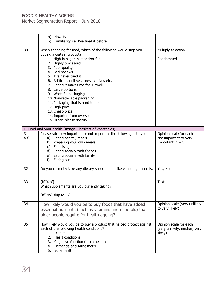|     | o) Novelty<br>p) Familiarity i.e. I've tried it before                 |                               |
|-----|------------------------------------------------------------------------|-------------------------------|
|     |                                                                        |                               |
| 30  | When shopping for food, which of the following would stop you          | Multiply selection            |
|     | buying a certain product?                                              |                               |
|     | 1. High in sugar, salt and/or fat                                      | Randomised                    |
|     | 2. Highly processed                                                    |                               |
|     | 3. Poor quality                                                        |                               |
|     | 4. Bad reviews                                                         |                               |
|     | 5. I've never tried it                                                 |                               |
|     | 6. Artificial additives, preservatives etc.                            |                               |
|     | 7. Eating it makes me feel unwell                                      |                               |
|     | 8. Large portions<br>9. Wasteful packaging                             |                               |
|     | 10. Non-recyclable packaging                                           |                               |
|     | 11. Packaging that is hard to open                                     |                               |
|     | 12. High price                                                         |                               |
|     | 13. Cheap price                                                        |                               |
|     | 14. Imported from overseas                                             |                               |
|     | 15. Other, please specify                                              |                               |
|     |                                                                        |                               |
|     | E. Food and your health (Image - baskets of vegetables)                |                               |
| 31  | Please rate how important or not important the following is to you:    | Opinion scale for each        |
| a-f | a) Eating healthy meals                                                | Not important to Very         |
|     | b) Preparing your own meals                                            | Important $(1 - 5)$           |
|     | c) Exercising                                                          |                               |
|     | d) Eating socially with friends                                        |                               |
|     | e) Eating socially with family<br>Eating out<br>f)                     |                               |
|     |                                                                        |                               |
| 32  | Do you currently take any dietary supplements like vitamins, minerals, | Yes, No                       |
|     | $\cdots$                                                               |                               |
|     |                                                                        |                               |
| 33  | [If 'Yes']                                                             | <b>Text</b>                   |
|     | What supplements are you currently taking?                             |                               |
|     | [If 'No', skip to 32]                                                  |                               |
|     |                                                                        |                               |
| 34  | How likely would you be to buy foods that have added                   | Opinion scale (very unlikely  |
|     | essential nutrients (such as vitamins and minerals) that               | to very likely)               |
|     | older people require for health ageing?                                |                               |
|     |                                                                        |                               |
| 35  | How likely would you be to buy a product that helped protect against   | Opinion scale for each        |
|     | each of the following health conditions?                               | (very unlikely, neither, very |
|     | 1. Diabetes                                                            | likely)                       |
|     | 2. Heart conditions                                                    |                               |
|     | 3. Cognitive function (brain health)                                   |                               |
|     | 4. Dementia and Alzheimer's                                            |                               |
|     | Bone health<br>5.                                                      |                               |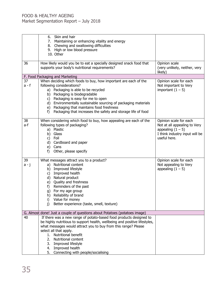|         | Skin and hair<br>6.                                                        |                                |
|---------|----------------------------------------------------------------------------|--------------------------------|
|         | 7. Maintaining or enhancing vitality and energy                            |                                |
|         | 8. Chewing and swallowing difficulties                                     |                                |
|         | 9. High or low blood pressure                                              |                                |
|         | 10. Other                                                                  |                                |
|         |                                                                            |                                |
| 36      | How likely would you be to eat a specially designed snack food that        | Opinion scale                  |
|         | supports your body's nutritional requirements?                             | (very unlikely, neither, very  |
|         |                                                                            | likely)                        |
|         | F. Food Packaging and Marketing                                            |                                |
| 37      | When deciding which foods to buy, how important are each of the            | Opinion scale for each         |
| $a - f$ | following considerations?                                                  | Not important to Very          |
|         | a) Packaging is able to be recycled                                        | important $(1 - 5)$            |
|         | b) Packaging is biodegradable                                              |                                |
|         | c) Packaging is easy for me to open                                        |                                |
|         | d) Environmentally sustainable sourcing of packaging materials             |                                |
|         | e) Packaging that maintains food freshness                                 |                                |
|         | Packaging that increases the safety and storage life of food<br>f)         |                                |
|         |                                                                            |                                |
| 38      | When considering which food to buy, how appealing are each of the          | Opinion scale for each         |
| a-f     | following types of packaging?                                              | Not at all appealing to Very   |
|         | a) Plastic                                                                 | appealing $(1 - 5)$            |
|         | b) Glass                                                                   | I think industry input will be |
|         | c) Foil                                                                    | useful here.                   |
|         | d) Cardboard and paper                                                     |                                |
|         |                                                                            |                                |
|         | e) Cans                                                                    |                                |
|         | Other, please specify<br>f)                                                |                                |
| 39      | What messages attract you to a product?                                    | Opinion scale for each         |
| a - j   | a) Nutritional content                                                     | Not appealing to Very          |
|         | Improved lifestyle<br>b)                                                   | appealing $(1 - 5)$            |
|         | Improved health<br>c)                                                      |                                |
|         | d) Natural product                                                         |                                |
|         | e) Quality and freshness                                                   |                                |
|         | Reminders of the past<br>f)                                                |                                |
|         | For my age group                                                           |                                |
|         | g)<br>Reliability of brand<br>h)                                           |                                |
|         | Value for money<br>i)                                                      |                                |
|         | Better experience (taste, smell, texture)                                  |                                |
|         | j)                                                                         |                                |
|         | G. Almost done! Just a couple of questions about Potatoes (potatoes image) |                                |
| 40      | If there was a new range of potato-based food products designed to         |                                |
|         | be highly nutritious to support health, wellbeing and positive lifestyles, |                                |
|         | what messages would attract you to buy from this range? Please             |                                |
|         | select all that apply.                                                     |                                |
|         | 1. Nutritional benefit                                                     |                                |
|         | 2. Nutritional content                                                     |                                |
|         | 3. Improved lifestyle                                                      |                                |
|         | 4. Improved health                                                         |                                |
|         |                                                                            |                                |
|         | 5. Connecting with people/socialising                                      |                                |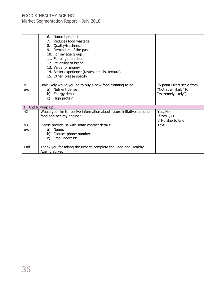|           | 6. Natural product<br>7. Reduces food wastage<br>8. Quality/freshness<br>9. Reminders of the past<br>10. For my age group<br>11. For all generations<br>12. Reliability of brand |                                                                             |
|-----------|----------------------------------------------------------------------------------------------------------------------------------------------------------------------------------|-----------------------------------------------------------------------------|
|           | 13. Value for money<br>14. Better experience (tastes, smells, texture)<br>15. Other, please specify ____________                                                                 |                                                                             |
| 41<br>a-c | How likely would you be to buy a new food claiming to be:<br>a) Nutrient dense<br>b) Energy dense<br>High protein<br>C)                                                          | (5-point Likert scale from<br>"Not at all likely" to<br>"extremely likely") |
|           | H. And to wrap up                                                                                                                                                                |                                                                             |
| 42        | Would you like to receive information about future initiatives around<br>food and healthy ageing?                                                                                | Yes, No<br>If Yes Q41<br>If No skip to End                                  |
| 43<br>a-c | Please provide us with some contact details:<br>a) Name:<br>b) Contact phone number:<br>Email address:<br>C)                                                                     | <b>Text</b>                                                                 |
| End       | Thank you for taking the time to complete the Food and Healthy<br>Ageing Survey.                                                                                                 |                                                                             |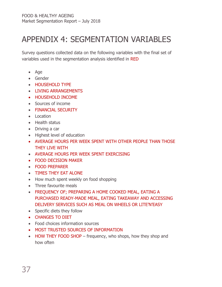# <span id="page-36-0"></span>APPENDIX 4: SEGMENTATION VARIABLES

Survey questions collected data on the following variables with the final set of variables used in the segmentation analysis identified in RED

- Age
- Gender
- HOUSEHOLD TYPE
- LIVING ARRANGEMENTS
- HOUSEHOLD INCOME
- Sources of income
- FINANCIAL SECURITY
- Location
- Health status
- Driving a car
- Highest level of education
- AVERAGE HOURS PER WEEK SPENT WITH OTHER PEOPLE THAN THOSE THEY LIVE WITH
- AVERAGE HOURS PER WEEK SPENT EXERCISING
- FOOD DECISION MAKER
- FOOD PREPARER
- TIMES THEY EAT ALONE
- How much spent weekly on food shopping
- Three favourite meals
- FREQUENCY OF; PREPARING A HOME COOKED MEAL, EATING A PURCHASED READY-MADE MEAL, EATING TAKEAWAY AND ACCESSING DELIVERY SERVICES SUCH AS MEAL ON WHEELS OR LITE'N'EASY
- Specific diets they follow
- CHANGES TO DIET
- Food choices information sources
- MOST TRUSTED SOURCES OF INFORMATION
- HOW THEY FOOD SHOP frequency, who shops, how they shop and how often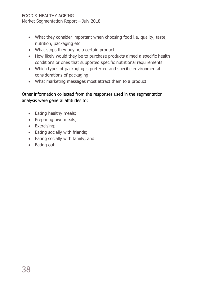- What they consider important when choosing food i.e. quality, taste, nutrition, packaging etc
- What stops they buying a certain product
- How likely would they be to purchase products aimed a specific health conditions or ones that supported specific nutritional requirements
- Which types of packaging is preferred and specific environmental considerations of packaging
- What marketing messages most attract them to a product

### Other information collected from the responses used in the segmentation analysis were general attitudes to:

- Eating healthy meals;
- Preparing own meals;
- Exercising;
- Eating socially with friends;
- Eating socially with family; and
- Eating out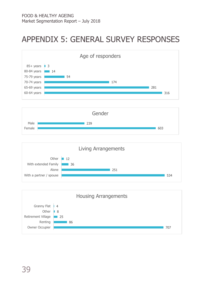# <span id="page-38-0"></span>APPENDIX 5: GENERAL SURVEY RESPONSES



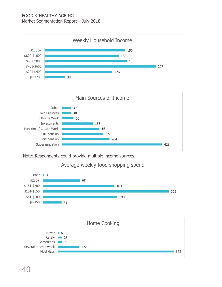







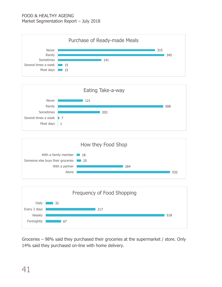







Groceries – 98% said they purchased their groceries at the supermarket / store. Only 14% said they purchased on-line with home delivery.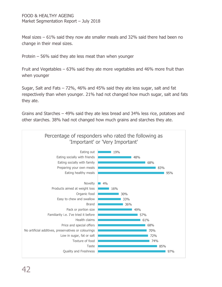Meal sizes – 61% said they now ate smaller meals and 32% said there had been no change in their meal sizes.

Protein – 56% said they ate less meat than when younger

Fruit and Vegetables – 63% said they ate more vegetables and 46% more fruit than when younger

Sugar, Salt and Fats – 72%, 46% and 45% said they ate less sugar, salt and fat respectively than when younger. 21% had not changed how much sugar, salt and fats they ate.

Grains and Starches – 49% said they ate less bread and 34% less rice, potatoes and other starches. 38% had not changed how much grains and starches they ate.

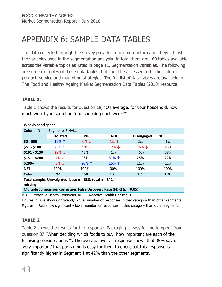# <span id="page-42-0"></span>APPENDIX 6: SAMPLE DATA TABLES

The data collected through the survey provides much more information beyond just the variables used in the segmentation analysis. In total there are 169 tables available across the variable topics as listed in page 11, Segmentation Variables. The following are some examples of these data tables that could be accessed to further inform product, service and marketing strategies. The full list of data tables are available in The Food and Healthy Ageing Market Segmentation Data Tables (2018) resource.

### <span id="page-42-1"></span>**TABLE 1.**

Table 1 shows the results for question 19, "On average, for your household, how much would you spend on food shopping each week?"

| Column %      | Segments FINAL1   |                  |                   |                   |            |  |  |  |
|---------------|-------------------|------------------|-------------------|-------------------|------------|--|--|--|
|               | <b>Isolated</b>   | <b>PHC</b>       | <b>RHC</b>        | <b>Disengaged</b> | <b>NET</b> |  |  |  |
| $$0 - $50$    | 16%个              | $0\% \downarrow$ | $1\% \downarrow$  | 2%                | 6%         |  |  |  |
| $$51 - $100$  | 46%个              | $9\% \downarrow$ | $12\% \downarrow$ | $16\% \downarrow$ | 23%        |  |  |  |
| $$101 - $150$ | $29\% \downarrow$ | 43%              | 41%               | 45%               | 38%        |  |  |  |
| $$151 - $200$ | 7% ↓              | 28%              | 31%个              | 25%               | 22%        |  |  |  |
| $$200+$       | $3\% \downarrow$  | 20%个             | 15%个              | 11%               | 11%        |  |  |  |
| <b>NET</b>    | 100%              | 100%             | 100%              | 100%              | 100%       |  |  |  |
| Column n      | 261               | 158              | 250               | 169               | 838        |  |  |  |
|               |                   |                  |                   |                   |            |  |  |  |

#### **Weekly food spend**

**Total sample; Unweighted; base n = 838; total n = 842; 4 missing**

#### **Multiple comparison correction: False Discovery Rate (FDR) (p = 0.05)**

PHC – Proactive Health Conscious, RHC – Reactive Health Conscious

Figures in Blue show significantly higher number of responses in that category than other segments Figures in Red show significantly lower number of responses in that category than other segments

### <span id="page-42-2"></span>**TABLE 2**

Table 2 shows the results for the response "Packaging is easy for me to open" from question 37 "When deciding which foods to buy, how important are each of the following considerations?". The average over all response shows that 35% say it is 'very important' that packaging is easy for them to open, but this response is significantly higher in Segment 1 at 42% than the other segments.